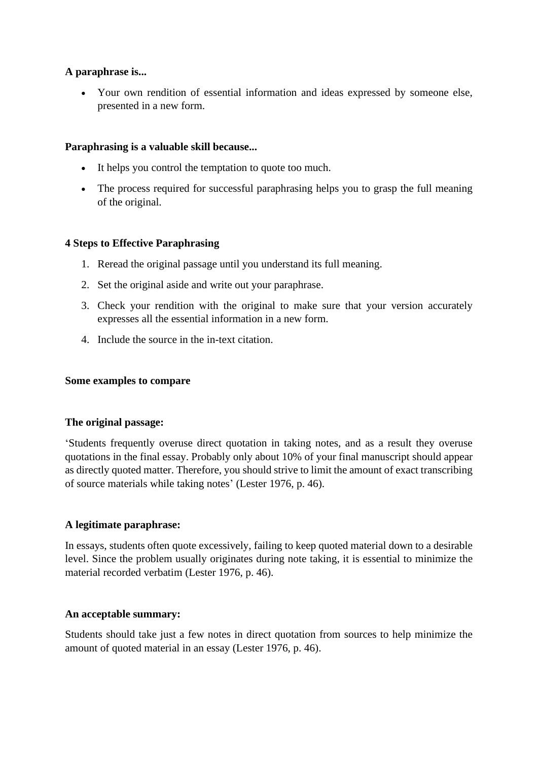## **A paraphrase is...**

• Your own rendition of essential information and ideas expressed by someone else, presented in a new form.

### **Paraphrasing is a valuable skill because...**

- It helps you control the temptation to quote too much.
- The process required for successful paraphrasing helps you to grasp the full meaning of the original.

#### **4 Steps to Effective Paraphrasing**

- 1. Reread the original passage until you understand its full meaning.
- 2. Set the original aside and write out your paraphrase.
- 3. Check your rendition with the original to make sure that your version accurately expresses all the essential information in a new form.
- 4. Include the source in the in-text citation.

#### **Some examples to compare**

#### **The original passage:**

'Students frequently overuse direct quotation in taking notes, and as a result they overuse quotations in the final essay. Probably only about 10% of your final manuscript should appear as directly quoted matter. Therefore, you should strive to limit the amount of exact transcribing of source materials while taking notes' (Lester 1976, p. 46).

#### **A legitimate paraphrase:**

In essays, students often quote excessively, failing to keep quoted material down to a desirable level. Since the problem usually originates during note taking, it is essential to minimize the material recorded verbatim (Lester 1976, p. 46).

#### **An acceptable summary:**

Students should take just a few notes in direct quotation from sources to help minimize the amount of quoted material in an essay (Lester 1976, p. 46).